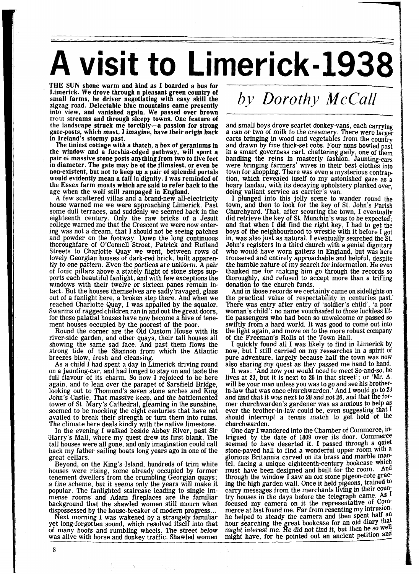## **A visit to Limerick-1938**

THE SUN shone warm and kind as I boarded a bus for Limerick. We drove through a pleasant green country of small farms, he driver negotiating with easy skill the zigzag road. Delectable blue mountains came presently into view, and vanished again. We passed over brown streams and through sleepy towns. One feature of the landscape struck me forcibly--a passion for strong gate-posts, which must, I imagine, have their origin back<br>in Ireland's stormy past.

The tiniest cottage with a thatch, a box of geraniums in the window and a fucshia-edged pathway, will sport a pair 01 massive stone posts anything from two to five feet in diameter. The gate may be of the flimsiest, or even be non-existently mean a fall in dignity. I was reminded of the Essex farm moats which are said to refer back to the age when the wolf still rampaged in England.<br>A few scattered villas and a brand-new all-electricity

house warned me we were approaching Limerick. Past some dull terraces, and suddenly we seemed back in the eighteenth century. Only the raw bricks of a Jesuit college warned me that the Crescent we were now entering was not a dream, that I should not be seeing patches and powder on the footway. Down the long continuous thoroughfare of O'Connell Street, Patrick and Rutland Streets to Charlotte Quay we went, between rows of lovely Georgian houses of dark-red brick, built apparently to one pattern. Even the porticos are uniform. A pair<br>of Ionic pillars above a stately flight of stone steps supports each beautiful fanlight, and with few exceptions the windows with their twelve or sixteen panes remain intact. But the houses themselves are sadly'ravaged, glass out of a fanlight here, a broken step there. And when we Swarms of ragged children ran in and out the great doors, for these palatial houses have now become a hive of tenement houses occupied by the poorest of the poor.

Round the corner are the Old Custom House with its river-side garden, and other quays, their tall houses all showing the same sad face. And past them flows the strong tide of the Shannon from which the Atlantic breezes blow, fresh and cleansing.<br>As a child I had spent a day in Limerick driving round

on a jaunting-car, and had longed to stay on and taste the full flavour of its charm. So now I rejoiced to be here again, and to lean over the parapet of Sarsfield Bridge, looking out to Thomond's seven stone arches and King John's Castle. That massive keep, and the battlemented tower of St. Mary's Cathedral, gleaming in the sunshine, seemed to be mocking the eight centuries that have not availed to break their strength or turn them into ruins. The climate here deals kindly with the native limestone.

In the evening I walked beside Abbey River, past Sir ;Harry's Mall, where my quest drew its first blank. The tall houses were all gone, and only imagination could call back my father sailing boats long years ago in one of the great cellars.

Beyond, on the King's Island, hundreds of trim white houses were rising, some already occupied by former tenement dwellers from the crumbling Georgian quays; a fine scheme, but it seems only the years will make it popular. The fanlighted staircase leading to single immense rooms and Adam fireplaces are the familiar background that the shawled women still mourn when dispossessed by the house-breaker of modern progress...

dispossessed by the house-breaker of modern progress.. . Next morning I was wakened by a strangely familiar yet long-forgotten sound, which resolved itself into that of many hoofs and rumbling wheels. The street below was alive with horse and donkey traffic. Shawled women

## *by Dorothy McCall*

and small boys drove scarlet donkey-vans, each carrying a can or two of milk to the creamery. There were larger carts bringing in wood and vegetables from the country and drawn by fine thick-set cobs. Four nuns bowled past in a smart governess cart, chattering gaily, one of them handling the reins in masterly fashion. Jaunting-cars were bringing farmers' wives in their best clothes into town for shopping. There was even a mysterious contraption, which revealed itself to my astonished gaze as a hoary landau, with its decaying upholstery planked over, doing valiant service as carrier's van.

I plunged into this jolly scene to wander round the town, and then to look for the key of St. John's Parish Churchyard. That, after scouring the town, I eventually did retrieve the key of St. Munchin's was to be expected; and that when I did find the right key, I had to get the in, was also just as natural. I eventually searched the St. John's registers in a third church with a genial dignitary who would have worn gaiters in England, but was here trousered and entirely approachable and helpful, despite the humble nature of my search for information. He even thanked me for making him go through the records so thoroughly, and refused to accept more than a trifling donation to the church funds.

And in those records we certainly came on sidelights on the practical value of respectability in centuries past. There was entry after entry of 'soldier's child', 'a poor woman's child': no name vouchsafed to those luckless little passengers who had been so unwelcome or passed so swiftly from a hard world. It was good to come out into the light again, and move on to the more robust company of the Freeman's Rolls at the Town Hall.

I quickly found all I was likely to find in Limerick by now, but I still carried on my researches in a spirit of pure adventure, largely because half the town was now also sharing my quest as they passed me hand to hand.

It was: 'And now you would need to meet So-and-so, he lives at 23, but it is next to **26** in that street'; or 'Mr. **A.**  will be your man unless you was to go and see his brotherin-law that was once churchwarden.' And I would go to 23 and find that it was next to **28** and not **26,** and that the former churchwarden's gardener was as anxious to help as ever the brother-in-law could be, even suggesting that I should interrupt a tennis match to get hold of the churchwarden.

One day I wandered into the Chamber of Commerce, intrigued by the date of **1809** over its door. Commerce seemed to have deserted it. I passed through a quiet stone-paved hall to find a wonderful upper room with **<sup>a</sup>** stone-paved hall to find a wonderful upper room with a glorious Britannia carved on its brass and marble mantel, facing a unique eighteenth-century bookcase which must have been designed and built for the room. And through the window  $\tilde{\mathbf{I}}$  saw an old stone pigeon-cote gracing the high garden wall. Once it held pigeons, trained to carry messages from the merchants living in their country houses in the days before the telegrabh came. As **1**  focused my camera on it the representative of Commerce at last found me. Far from resenting my intrusion, he helped to steady the camera and then spent half an hour searching the great bookcase for an old diary  $\frac{du}{dt}$ might interest me. He did not find it, but then he so well might have, for he pointed out an ancient petition and